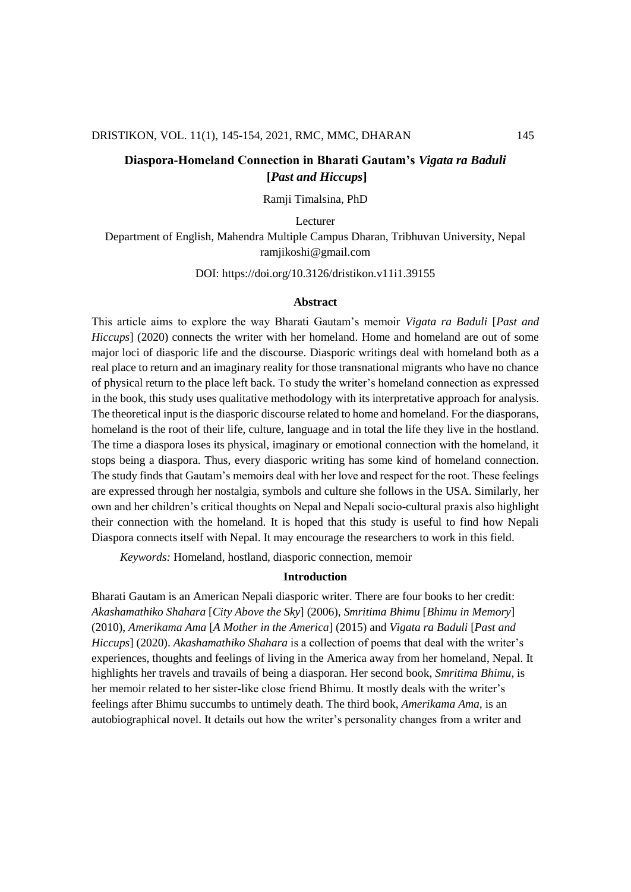# **Diaspora-Homeland Connection in Bharati Gautam's** *Vigata ra Baduli* **[***Past and Hiccups***]**

Ramji Timalsina, PhD

Lecturer Department of English, Mahendra Multiple Campus Dharan, Tribhuvan University, Nepal ramjikoshi@gmail.com

DOI: https://doi.org/10.3126/dristikon.v11i1.39155

#### **Abstract**

This article aims to explore the way Bharati Gautam's memoir *Vigata ra Baduli* [*Past and Hiccups*] (2020) connects the writer with her homeland. Home and homeland are out of some major loci of diasporic life and the discourse. Diasporic writings deal with homeland both as a real place to return and an imaginary reality for those transnational migrants who have no chance of physical return to the place left back. To study the writer's homeland connection as expressed in the book, this study uses qualitative methodology with its interpretative approach for analysis. The theoretical input is the diasporic discourse related to home and homeland. For the diasporans, homeland is the root of their life, culture, language and in total the life they live in the hostland. The time a diaspora loses its physical, imaginary or emotional connection with the homeland, it stops being a diaspora. Thus, every diasporic writing has some kind of homeland connection. The study finds that Gautam's memoirs deal with her love and respect for the root. These feelings are expressed through her nostalgia, symbols and culture she follows in the USA. Similarly, her own and her children's critical thoughts on Nepal and Nepali socio-cultural praxis also highlight their connection with the homeland. It is hoped that this study is useful to find how Nepali Diaspora connects itself with Nepal. It may encourage the researchers to work in this field.

*Keywords:* Homeland, hostland, diasporic connection, memoir

#### **Introduction**

Bharati Gautam is an American Nepali diasporic writer. There are four books to her credit: *Akashamathiko Shahara* [*City Above the Sky*] (2006), *Smritima Bhimu* [*Bhimu in Memory*] (2010), *Amerikama Ama* [*A Mother in the America*] (2015) and *Vigata ra Baduli* [*Past and Hiccups*] (2020). *Akashamathiko Shahara* is a collection of poems that deal with the writer's experiences, thoughts and feelings of living in the America away from her homeland, Nepal. It highlights her travels and travails of being a diasporan. Her second book, *Smritima Bhimu,* is her memoir related to her sister-like close friend Bhimu. It mostly deals with the writer's feelings after Bhimu succumbs to untimely death. The third book, *Amerikama Ama,* is an autobiographical novel. It details out how the writer's personality changes from a writer and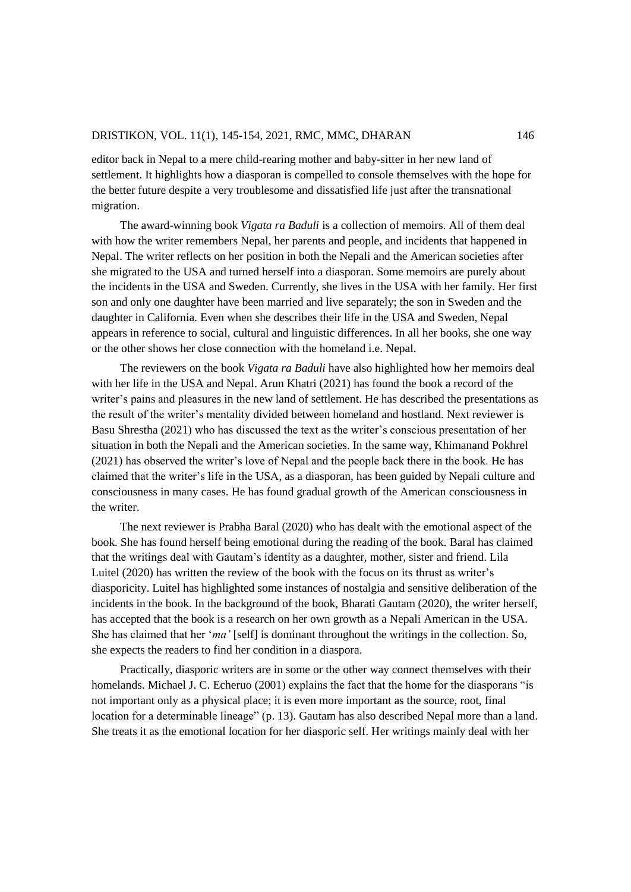editor back in Nepal to a mere child-rearing mother and baby-sitter in her new land of settlement. It highlights how a diasporan is compelled to console themselves with the hope for the better future despite a very troublesome and dissatisfied life just after the transnational migration.

The award-winning book *Vigata ra Baduli* is a collection of memoirs. All of them deal with how the writer remembers Nepal, her parents and people, and incidents that happened in Nepal. The writer reflects on her position in both the Nepali and the American societies after she migrated to the USA and turned herself into a diasporan. Some memoirs are purely about the incidents in the USA and Sweden. Currently, she lives in the USA with her family. Her first son and only one daughter have been married and live separately; the son in Sweden and the daughter in California. Even when she describes their life in the USA and Sweden, Nepal appears in reference to social, cultural and linguistic differences. In all her books, she one way or the other shows her close connection with the homeland i.e. Nepal.

The reviewers on the book *Vigata ra Baduli* have also highlighted how her memoirs deal with her life in the USA and Nepal. Arun Khatri (2021) has found the book a record of the writer's pains and pleasures in the new land of settlement. He has described the presentations as the result of the writer's mentality divided between homeland and hostland. Next reviewer is Basu Shrestha (2021) who has discussed the text as the writer's conscious presentation of her situation in both the Nepali and the American societies. In the same way, Khimanand Pokhrel (2021) has observed the writer's love of Nepal and the people back there in the book. He has claimed that the writer's life in the USA, as a diasporan, has been guided by Nepali culture and consciousness in many cases. He has found gradual growth of the American consciousness in the writer.

The next reviewer is Prabha Baral (2020) who has dealt with the emotional aspect of the book. She has found herself being emotional during the reading of the book. Baral has claimed that the writings deal with Gautam's identity as a daughter, mother, sister and friend. Lila Luitel (2020) has written the review of the book with the focus on its thrust as writer's diasporicity. Luitel has highlighted some instances of nostalgia and sensitive deliberation of the incidents in the book. In the background of the book, Bharati Gautam (2020), the writer herself, has accepted that the book is a research on her own growth as a Nepali American in the USA. She has claimed that her '*ma'* [self] is dominant throughout the writings in the collection. So, she expects the readers to find her condition in a diaspora.

Practically, diasporic writers are in some or the other way connect themselves with their homelands. Michael J. C. Echeruo (2001) explains the fact that the home for the diasporans "is not important only as a physical place; it is even more important as the source, root, final location for a determinable lineage" (p. 13). Gautam has also described Nepal more than a land. She treats it as the emotional location for her diasporic self. Her writings mainly deal with her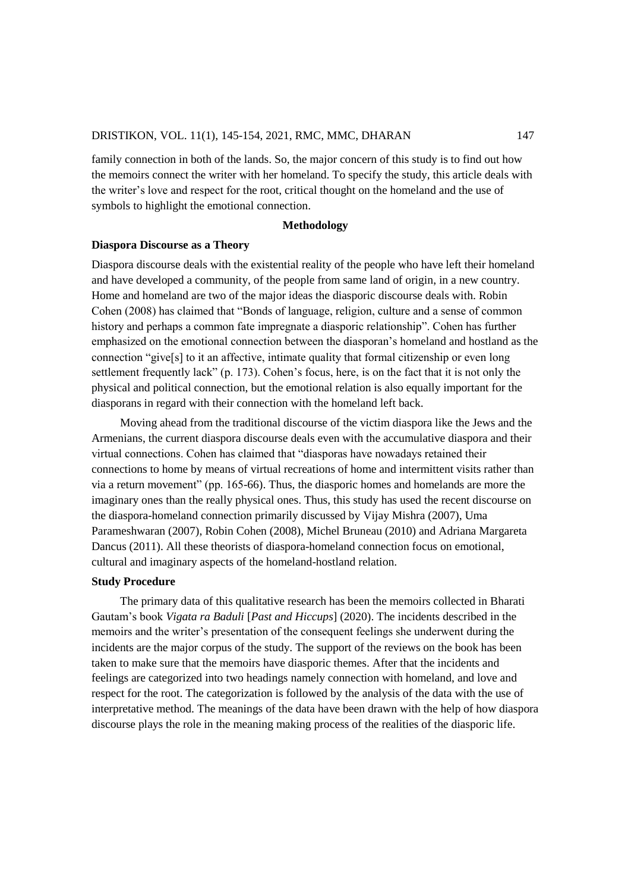family connection in both of the lands. So, the major concern of this study is to find out how the memoirs connect the writer with her homeland. To specify the study, this article deals with the writer's love and respect for the root, critical thought on the homeland and the use of symbols to highlight the emotional connection.

#### **Methodology**

#### **Diaspora Discourse as a Theory**

Diaspora discourse deals with the existential reality of the people who have left their homeland and have developed a community, of the people from same land of origin, in a new country. Home and homeland are two of the major ideas the diasporic discourse deals with. Robin Cohen (2008) has claimed that "Bonds of language, religion, culture and a sense of common history and perhaps a common fate impregnate a diasporic relationship". Cohen has further emphasized on the emotional connection between the diasporan's homeland and hostland as the connection "give[s] to it an affective, intimate quality that formal citizenship or even long settlement frequently lack" (p. 173). Cohen's focus, here, is on the fact that it is not only the physical and political connection, but the emotional relation is also equally important for the diasporans in regard with their connection with the homeland left back.

Moving ahead from the traditional discourse of the victim diaspora like the Jews and the Armenians, the current diaspora discourse deals even with the accumulative diaspora and their virtual connections. Cohen has claimed that "diasporas have nowadays retained their connections to home by means of virtual recreations of home and intermittent visits rather than via a return movement" (pp. 165-66). Thus, the diasporic homes and homelands are more the imaginary ones than the really physical ones. Thus, this study has used the recent discourse on the diaspora-homeland connection primarily discussed by Vijay Mishra (2007), Uma Parameshwaran (2007), Robin Cohen (2008), Michel Bruneau (2010) and Adriana Margareta Dancus (2011). All these theorists of diaspora-homeland connection focus on emotional, cultural and imaginary aspects of the homeland-hostland relation.

#### **Study Procedure**

The primary data of this qualitative research has been the memoirs collected in Bharati Gautam's book *Vigata ra Baduli* [*Past and Hiccups*] (2020). The incidents described in the memoirs and the writer's presentation of the consequent feelings she underwent during the incidents are the major corpus of the study. The support of the reviews on the book has been taken to make sure that the memoirs have diasporic themes. After that the incidents and feelings are categorized into two headings namely connection with homeland, and love and respect for the root. The categorization is followed by the analysis of the data with the use of interpretative method. The meanings of the data have been drawn with the help of how diaspora discourse plays the role in the meaning making process of the realities of the diasporic life.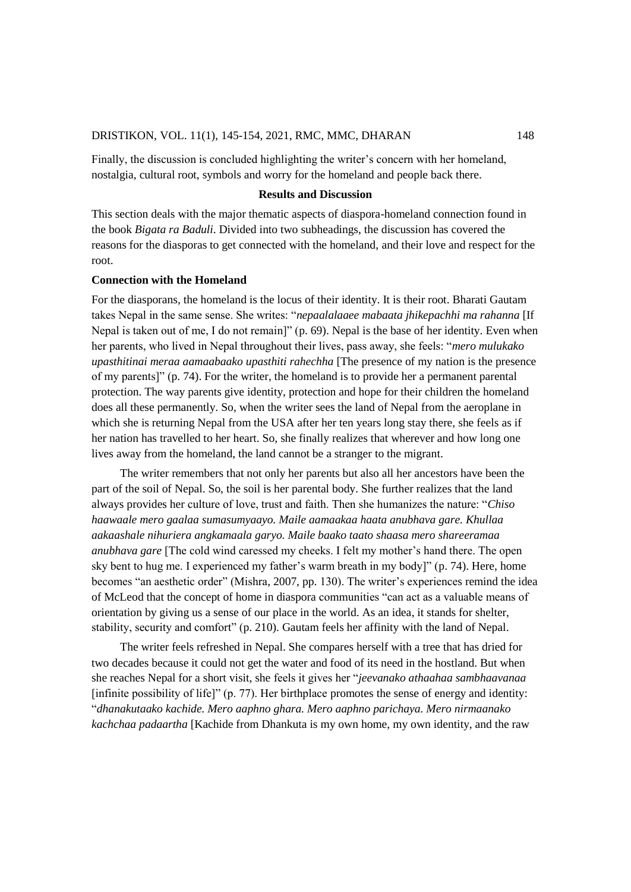Finally, the discussion is concluded highlighting the writer's concern with her homeland, nostalgia, cultural root, symbols and worry for the homeland and people back there.

# **Results and Discussion**

This section deals with the major thematic aspects of diaspora-homeland connection found in the book *Bigata ra Baduli*. Divided into two subheadings, the discussion has covered the reasons for the diasporas to get connected with the homeland, and their love and respect for the root.

## **Connection with the Homeland**

For the diasporans, the homeland is the locus of their identity. It is their root. Bharati Gautam takes Nepal in the same sense. She writes: "*nepaalalaaee mabaata jhikepachhi ma rahanna* [If Nepal is taken out of me, I do not remain]" (p. 69). Nepal is the base of her identity. Even when her parents, who lived in Nepal throughout their lives, pass away, she feels: "*mero mulukako upasthitinai meraa aamaabaako upasthiti rahechha* [The presence of my nation is the presence of my parents]" (p. 74). For the writer, the homeland is to provide her a permanent parental protection. The way parents give identity, protection and hope for their children the homeland does all these permanently. So, when the writer sees the land of Nepal from the aeroplane in which she is returning Nepal from the USA after her ten years long stay there, she feels as if her nation has travelled to her heart. So, she finally realizes that wherever and how long one lives away from the homeland, the land cannot be a stranger to the migrant.

The writer remembers that not only her parents but also all her ancestors have been the part of the soil of Nepal. So, the soil is her parental body. She further realizes that the land always provides her culture of love, trust and faith. Then she humanizes the nature: "*Chiso haawaale mero gaalaa sumasumyaayo. Maile aamaakaa haata anubhava gare. Khullaa aakaashale nihuriera angkamaala garyo. Maile baako taato shaasa mero shareeramaa anubhava gare* [The cold wind caressed my cheeks. I felt my mother's hand there. The open sky bent to hug me. I experienced my father's warm breath in my body]" (p. 74). Here, home becomes "an aesthetic order" (Mishra, 2007, pp. 130). The writer's experiences remind the idea of McLeod that the concept of home in diaspora communities "can act as a valuable means of orientation by giving us a sense of our place in the world. As an idea, it stands for shelter, stability, security and comfort" (p. 210). Gautam feels her affinity with the land of Nepal.

The writer feels refreshed in Nepal. She compares herself with a tree that has dried for two decades because it could not get the water and food of its need in the hostland. But when she reaches Nepal for a short visit, she feels it gives her "*jeevanako athaahaa sambhaavanaa* [infinite possibility of life]" (p. 77). Her birthplace promotes the sense of energy and identity: "*dhanakutaako kachide. Mero aaphno ghara. Mero aaphno parichaya. Mero nirmaanako kachchaa padaartha* [Kachide from Dhankuta is my own home, my own identity, and the raw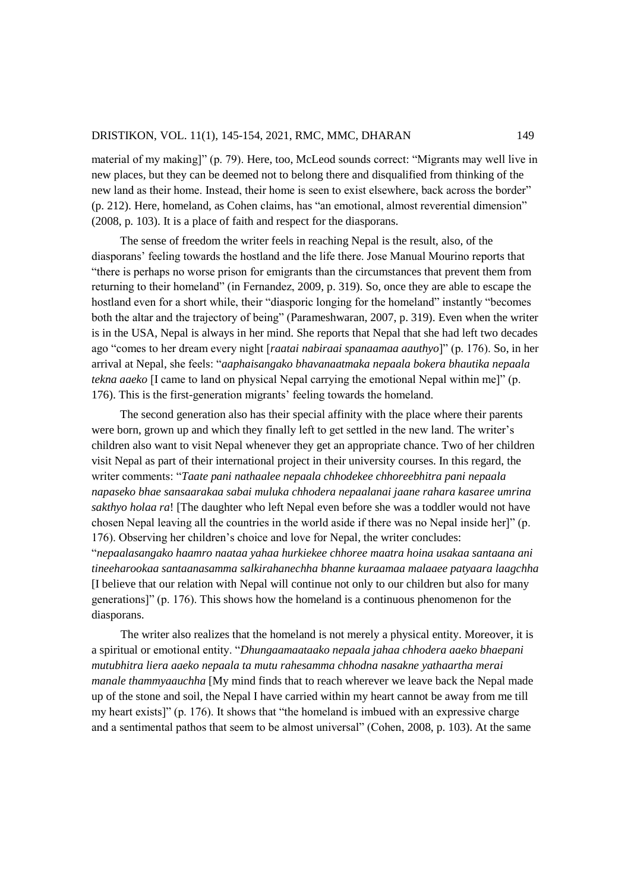material of my making]" (p. 79). Here, too, McLeod sounds correct: "Migrants may well live in new places, but they can be deemed not to belong there and disqualified from thinking of the new land as their home. Instead, their home is seen to exist elsewhere, back across the border" (p. 212). Here, homeland, as Cohen claims, has "an emotional, almost reverential dimension" (2008, p. 103). It is a place of faith and respect for the diasporans.

The sense of freedom the writer feels in reaching Nepal is the result, also, of the diasporans' feeling towards the hostland and the life there. Jose Manual Mourino reports that "there is perhaps no worse prison for emigrants than the circumstances that prevent them from returning to their homeland" (in Fernandez, 2009, p. 319). So, once they are able to escape the hostland even for a short while, their "diasporic longing for the homeland" instantly "becomes both the altar and the trajectory of being" (Parameshwaran, 2007, p. 319). Even when the writer is in the USA, Nepal is always in her mind. She reports that Nepal that she had left two decades ago "comes to her dream every night [*raatai nabiraai spanaamaa aauthyo*]" (p. 176). So, in her arrival at Nepal, she feels: "*aaphaisangako bhavanaatmaka nepaala bokera bhautika nepaala tekna aaeko* [I came to land on physical Nepal carrying the emotional Nepal within me]" (p. 176). This is the first-generation migrants' feeling towards the homeland.

The second generation also has their special affinity with the place where their parents were born, grown up and which they finally left to get settled in the new land. The writer's children also want to visit Nepal whenever they get an appropriate chance. Two of her children visit Nepal as part of their international project in their university courses. In this regard, the writer comments: "*Taate pani nathaalee nepaala chhodekee chhoreebhitra pani nepaala napaseko bhae sansaarakaa sabai muluka chhodera nepaalanai jaane rahara kasaree umrina sakthyo holaa ra*! [The daughter who left Nepal even before she was a toddler would not have chosen Nepal leaving all the countries in the world aside if there was no Nepal inside her]" (p. 176). Observing her children's choice and love for Nepal, the writer concludes: "*nepaalasangako haamro naataa yahaa hurkiekee chhoree maatra hoina usakaa santaana ani tineeharookaa santaanasamma salkirahanechha bhanne kuraamaa malaaee patyaara laagchha*  [I believe that our relation with Nepal will continue not only to our children but also for many generations]" (p. 176). This shows how the homeland is a continuous phenomenon for the diasporans.

The writer also realizes that the homeland is not merely a physical entity. Moreover, it is a spiritual or emotional entity. "*Dhungaamaataako nepaala jahaa chhodera aaeko bhaepani mutubhitra liera aaeko nepaala ta mutu rahesamma chhodna nasakne yathaartha merai manale thammyaauchha* [My mind finds that to reach wherever we leave back the Nepal made up of the stone and soil, the Nepal I have carried within my heart cannot be away from me till my heart exists]" (p. 176). It shows that "the homeland is imbued with an expressive charge and a sentimental pathos that seem to be almost universal" (Cohen, 2008, p. 103). At the same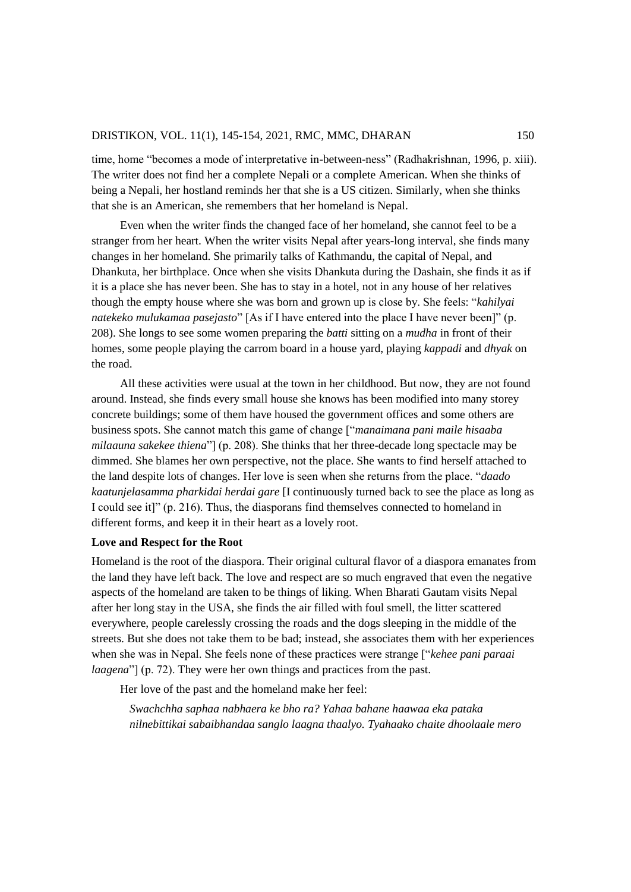time, home "becomes a mode of interpretative in-between-ness" (Radhakrishnan, 1996, p. xiii). The writer does not find her a complete Nepali or a complete American. When she thinks of being a Nepali, her hostland reminds her that she is a US citizen. Similarly, when she thinks that she is an American, she remembers that her homeland is Nepal.

Even when the writer finds the changed face of her homeland, she cannot feel to be a stranger from her heart. When the writer visits Nepal after years-long interval, she finds many changes in her homeland. She primarily talks of Kathmandu, the capital of Nepal, and Dhankuta, her birthplace. Once when she visits Dhankuta during the Dashain, she finds it as if it is a place she has never been. She has to stay in a hotel, not in any house of her relatives though the empty house where she was born and grown up is close by. She feels: "*kahilyai natekeko mulukamaa pasejasto*" [As if I have entered into the place I have never been]" (p. 208). She longs to see some women preparing the *batti* sitting on a *mudha* in front of their homes, some people playing the carrom board in a house yard, playing *kappadi* and *dhyak* on the road.

All these activities were usual at the town in her childhood. But now, they are not found around. Instead, she finds every small house she knows has been modified into many storey concrete buildings; some of them have housed the government offices and some others are business spots. She cannot match this game of change ["*manaimana pani maile hisaaba milaauna sakekee thiena*"] (p. 208). She thinks that her three-decade long spectacle may be dimmed. She blames her own perspective, not the place. She wants to find herself attached to the land despite lots of changes. Her love is seen when she returns from the place. "*daado kaatunjelasamma pharkidai herdai gare* [I continuously turned back to see the place as long as I could see it]" (p. 216). Thus, the diasporans find themselves connected to homeland in different forms, and keep it in their heart as a lovely root.

## **Love and Respect for the Root**

Homeland is the root of the diaspora. Their original cultural flavor of a diaspora emanates from the land they have left back. The love and respect are so much engraved that even the negative aspects of the homeland are taken to be things of liking. When Bharati Gautam visits Nepal after her long stay in the USA, she finds the air filled with foul smell, the litter scattered everywhere, people carelessly crossing the roads and the dogs sleeping in the middle of the streets. But she does not take them to be bad; instead, she associates them with her experiences when she was in Nepal. She feels none of these practices were strange ["*kehee pani paraai laagena*"] (p. 72). They were her own things and practices from the past.

Her love of the past and the homeland make her feel:

*Swachchha saphaa nabhaera ke bho ra? Yahaa bahane haawaa eka pataka nilnebittikai sabaibhandaa sanglo laagna thaalyo. Tyahaako chaite dhoolaale mero*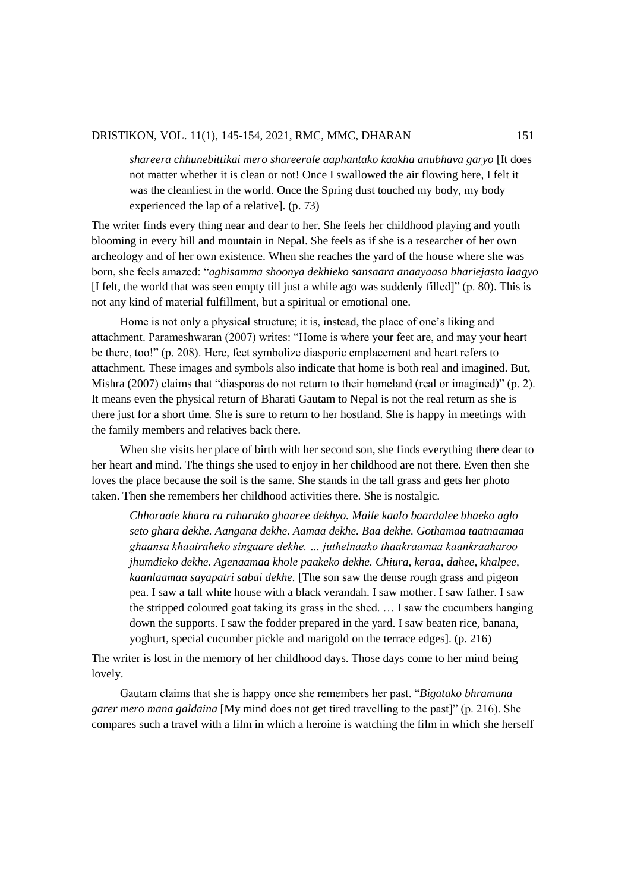*shareera chhunebittikai mero shareerale aaphantako kaakha anubhava garyo* [It does not matter whether it is clean or not! Once I swallowed the air flowing here, I felt it was the cleanliest in the world. Once the Spring dust touched my body, my body experienced the lap of a relative]. (p. 73)

The writer finds every thing near and dear to her. She feels her childhood playing and youth blooming in every hill and mountain in Nepal. She feels as if she is a researcher of her own archeology and of her own existence. When she reaches the yard of the house where she was born, she feels amazed: "*aghisamma shoonya dekhieko sansaara anaayaasa bhariejasto laagyo* [I felt, the world that was seen empty till just a while ago was suddenly filled]" (p. 80). This is not any kind of material fulfillment, but a spiritual or emotional one.

Home is not only a physical structure; it is, instead, the place of one's liking and attachment. Parameshwaran (2007) writes: "Home is where your feet are, and may your heart be there, too!" (p. 208). Here, feet symbolize diasporic emplacement and heart refers to attachment. These images and symbols also indicate that home is both real and imagined. But, Mishra (2007) claims that "diasporas do not return to their homeland (real or imagined)" (p. 2). It means even the physical return of Bharati Gautam to Nepal is not the real return as she is there just for a short time. She is sure to return to her hostland. She is happy in meetings with the family members and relatives back there.

When she visits her place of birth with her second son, she finds everything there dear to her heart and mind. The things she used to enjoy in her childhood are not there. Even then she loves the place because the soil is the same. She stands in the tall grass and gets her photo taken. Then she remembers her childhood activities there. She is nostalgic.

*Chhoraale khara ra raharako ghaaree dekhyo. Maile kaalo baardalee bhaeko aglo seto ghara dekhe. Aangana dekhe. Aamaa dekhe. Baa dekhe. Gothamaa taatnaamaa ghaansa khaairaheko singaare dekhe. … juthelnaako thaakraamaa kaankraaharoo jhumdieko dekhe. Agenaamaa khole paakeko dekhe. Chiura, keraa, dahee, khalpee, kaanlaamaa sayapatri sabai dekhe.* [The son saw the dense rough grass and pigeon pea. I saw a tall white house with a black verandah. I saw mother. I saw father. I saw the stripped coloured goat taking its grass in the shed. … I saw the cucumbers hanging down the supports. I saw the fodder prepared in the yard. I saw beaten rice, banana, yoghurt, special cucumber pickle and marigold on the terrace edges]. (p. 216)

The writer is lost in the memory of her childhood days. Those days come to her mind being lovely.

Gautam claims that she is happy once she remembers her past. "*Bigatako bhramana garer mero mana galdaina* [My mind does not get tired travelling to the past]" (p. 216). She compares such a travel with a film in which a heroine is watching the film in which she herself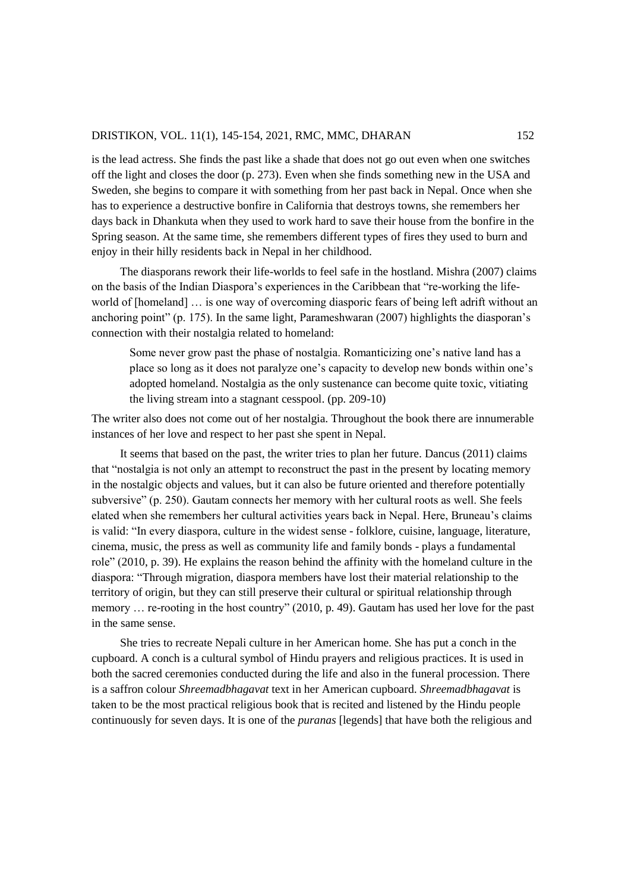is the lead actress. She finds the past like a shade that does not go out even when one switches off the light and closes the door (p. 273). Even when she finds something new in the USA and Sweden, she begins to compare it with something from her past back in Nepal. Once when she has to experience a destructive bonfire in California that destroys towns, she remembers her days back in Dhankuta when they used to work hard to save their house from the bonfire in the Spring season. At the same time, she remembers different types of fires they used to burn and enjoy in their hilly residents back in Nepal in her childhood.

The diasporans rework their life-worlds to feel safe in the hostland. Mishra (2007) claims on the basis of the Indian Diaspora's experiences in the Caribbean that "re-working the lifeworld of [homeland] … is one way of overcoming diasporic fears of being left adrift without an anchoring point" (p. 175). In the same light, Parameshwaran (2007) highlights the diasporan's connection with their nostalgia related to homeland:

Some never grow past the phase of nostalgia. Romanticizing one's native land has a place so long as it does not paralyze one's capacity to develop new bonds within one's adopted homeland. Nostalgia as the only sustenance can become quite toxic, vitiating the living stream into a stagnant cesspool. (pp. 209-10)

The writer also does not come out of her nostalgia. Throughout the book there are innumerable instances of her love and respect to her past she spent in Nepal.

It seems that based on the past, the writer tries to plan her future. Dancus (2011) claims that "nostalgia is not only an attempt to reconstruct the past in the present by locating memory in the nostalgic objects and values, but it can also be future oriented and therefore potentially subversive" (p. 250). Gautam connects her memory with her cultural roots as well. She feels elated when she remembers her cultural activities years back in Nepal. Here, Bruneau's claims is valid: "In every diaspora, culture in the widest sense - folklore, cuisine, language, literature, cinema, music, the press as well as community life and family bonds - plays a fundamental role" (2010, p. 39). He explains the reason behind the affinity with the homeland culture in the diaspora: "Through migration, diaspora members have lost their material relationship to the territory of origin, but they can still preserve their cultural or spiritual relationship through memory … re-rooting in the host country" (2010, p. 49). Gautam has used her love for the past in the same sense.

She tries to recreate Nepali culture in her American home. She has put a conch in the cupboard. A conch is a cultural symbol of Hindu prayers and religious practices. It is used in both the sacred ceremonies conducted during the life and also in the funeral procession. There is a saffron colour *Shreemadbhagavat* text in her American cupboard. *Shreemadbhagavat* is taken to be the most practical religious book that is recited and listened by the Hindu people continuously for seven days. It is one of the *puranas* [legends] that have both the religious and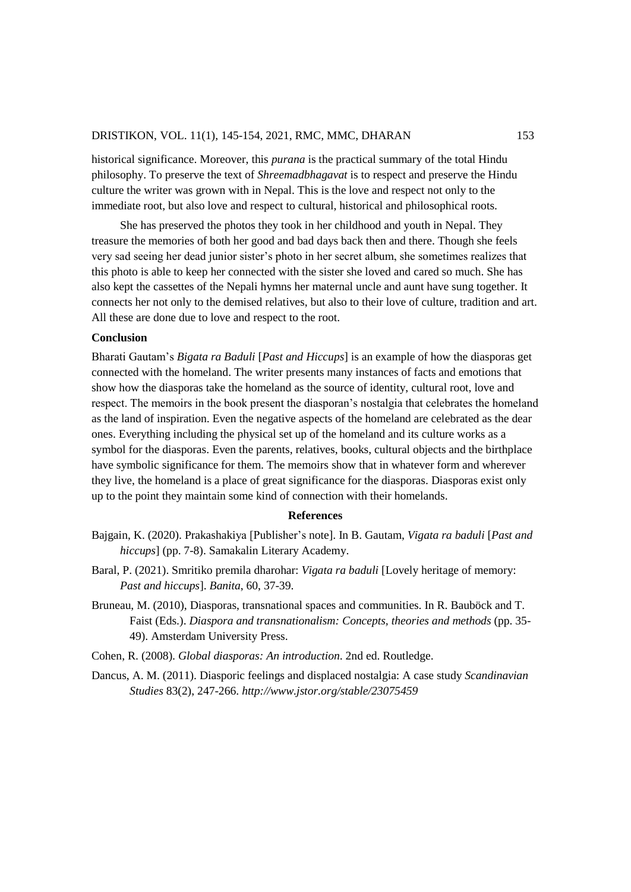historical significance. Moreover, this *purana* is the practical summary of the total Hindu philosophy. To preserve the text of *Shreemadbhagavat* is to respect and preserve the Hindu culture the writer was grown with in Nepal. This is the love and respect not only to the immediate root, but also love and respect to cultural, historical and philosophical roots.

She has preserved the photos they took in her childhood and youth in Nepal. They treasure the memories of both her good and bad days back then and there. Though she feels very sad seeing her dead junior sister's photo in her secret album, she sometimes realizes that this photo is able to keep her connected with the sister she loved and cared so much. She has also kept the cassettes of the Nepali hymns her maternal uncle and aunt have sung together. It connects her not only to the demised relatives, but also to their love of culture, tradition and art. All these are done due to love and respect to the root.

## **Conclusion**

Bharati Gautam's *Bigata ra Baduli* [*Past and Hiccups*] is an example of how the diasporas get connected with the homeland. The writer presents many instances of facts and emotions that show how the diasporas take the homeland as the source of identity, cultural root, love and respect. The memoirs in the book present the diasporan's nostalgia that celebrates the homeland as the land of inspiration. Even the negative aspects of the homeland are celebrated as the dear ones. Everything including the physical set up of the homeland and its culture works as a symbol for the diasporas. Even the parents, relatives, books, cultural objects and the birthplace have symbolic significance for them. The memoirs show that in whatever form and wherever they live, the homeland is a place of great significance for the diasporas. Diasporas exist only up to the point they maintain some kind of connection with their homelands.

#### **References**

- Bajgain, K. (2020). Prakashakiya [Publisher's note]. In B. Gautam, *Vigata ra baduli* [*Past and hiccups*] (pp. 7-8). Samakalin Literary Academy.
- Baral, P. (2021). Smritiko premila dharohar: *Vigata ra baduli* [Lovely heritage of memory: *Past and hiccups*]. *Banita*, 60, 37-39.
- Bruneau, M. (2010), Diasporas, transnational spaces and communities. In R. Bauböck and T. Faist (Eds.). *Diaspora and transnationalism: Concepts, theories and methods* (pp. 35- 49). Amsterdam University Press.
- Cohen, R. (2008). *Global diasporas: An introduction*. 2nd ed. Routledge.
- Dancus, A. M. (2011). Diasporic feelings and displaced nostalgia: A case study *Scandinavian Studies* 83(2), 247-266. *http://www.jstor.org/stable/23075459*